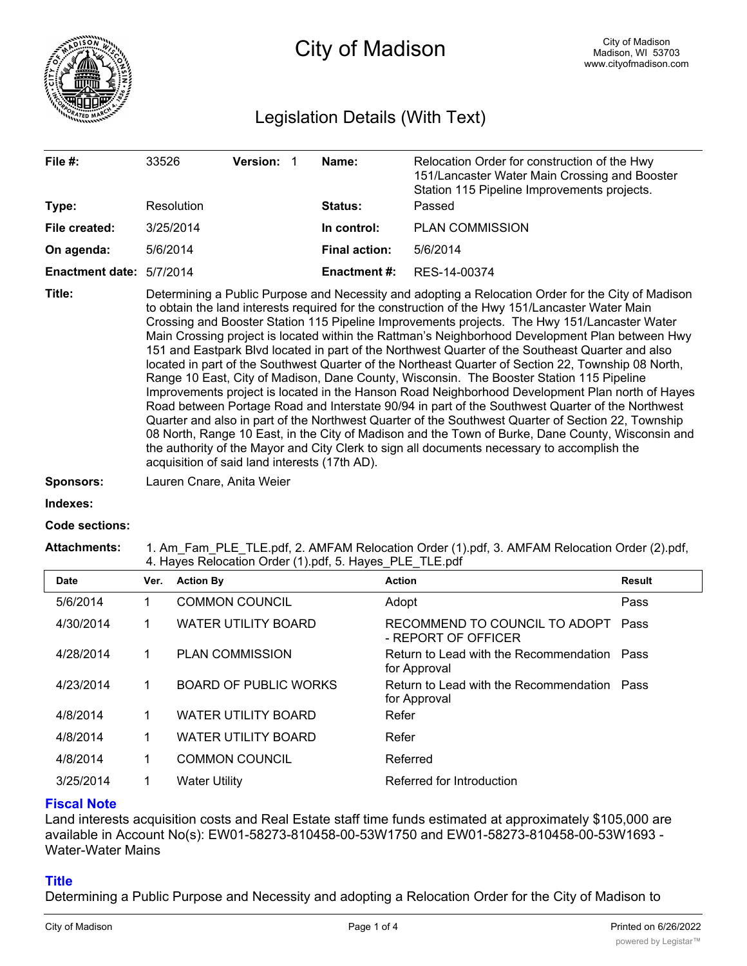

# City of Madison

## Legislation Details (With Text)

| File $#$ :               | 33526<br>Resolution       | <b>Version:</b>                                                                                                                                                                                                                                                                                                                                                                                                                                                                                                                                                                                                                                                                                                                                                                                                                                                                                                                                                                                                                                                                                                                                                                                                                                                                  | -1 | Name:<br><b>Status:</b> | Relocation Order for construction of the Hwy<br>151/Lancaster Water Main Crossing and Booster<br>Station 115 Pipeline Improvements projects.<br>Passed |  |
|--------------------------|---------------------------|----------------------------------------------------------------------------------------------------------------------------------------------------------------------------------------------------------------------------------------------------------------------------------------------------------------------------------------------------------------------------------------------------------------------------------------------------------------------------------------------------------------------------------------------------------------------------------------------------------------------------------------------------------------------------------------------------------------------------------------------------------------------------------------------------------------------------------------------------------------------------------------------------------------------------------------------------------------------------------------------------------------------------------------------------------------------------------------------------------------------------------------------------------------------------------------------------------------------------------------------------------------------------------|----|-------------------------|--------------------------------------------------------------------------------------------------------------------------------------------------------|--|
| Type:                    |                           |                                                                                                                                                                                                                                                                                                                                                                                                                                                                                                                                                                                                                                                                                                                                                                                                                                                                                                                                                                                                                                                                                                                                                                                                                                                                                  |    |                         |                                                                                                                                                        |  |
| File created:            | 3/25/2014                 |                                                                                                                                                                                                                                                                                                                                                                                                                                                                                                                                                                                                                                                                                                                                                                                                                                                                                                                                                                                                                                                                                                                                                                                                                                                                                  |    | In control:             | <b>PLAN COMMISSION</b>                                                                                                                                 |  |
| On agenda:               | 5/6/2014                  |                                                                                                                                                                                                                                                                                                                                                                                                                                                                                                                                                                                                                                                                                                                                                                                                                                                                                                                                                                                                                                                                                                                                                                                                                                                                                  |    | <b>Final action:</b>    | 5/6/2014                                                                                                                                               |  |
| Enactment date: 5/7/2014 |                           |                                                                                                                                                                                                                                                                                                                                                                                                                                                                                                                                                                                                                                                                                                                                                                                                                                                                                                                                                                                                                                                                                                                                                                                                                                                                                  |    | Enactment #:            | RES-14-00374                                                                                                                                           |  |
| Title:                   |                           | Determining a Public Purpose and Necessity and adopting a Relocation Order for the City of Madison<br>to obtain the land interests required for the construction of the Hwy 151/Lancaster Water Main<br>Crossing and Booster Station 115 Pipeline Improvements projects. The Hwy 151/Lancaster Water<br>Main Crossing project is located within the Rattman's Neighborhood Development Plan between Hwy<br>151 and Eastpark Blvd located in part of the Northwest Quarter of the Southeast Quarter and also<br>located in part of the Southwest Quarter of the Northeast Quarter of Section 22, Township 08 North,<br>Range 10 East, City of Madison, Dane County, Wisconsin. The Booster Station 115 Pipeline<br>Improvements project is located in the Hanson Road Neighborhood Development Plan north of Hayes<br>Road between Portage Road and Interstate 90/94 in part of the Southwest Quarter of the Northwest<br>Quarter and also in part of the Northwest Quarter of the Southwest Quarter of Section 22, Township<br>08 North, Range 10 East, in the City of Madison and the Town of Burke, Dane County, Wisconsin and<br>the authority of the Mayor and City Clerk to sign all documents necessary to accomplish the<br>acquisition of said land interests (17th AD). |    |                         |                                                                                                                                                        |  |
| <b>Sponsors:</b>         | Lauren Cnare, Anita Weier |                                                                                                                                                                                                                                                                                                                                                                                                                                                                                                                                                                                                                                                                                                                                                                                                                                                                                                                                                                                                                                                                                                                                                                                                                                                                                  |    |                         |                                                                                                                                                        |  |
| Indexes:                 |                           |                                                                                                                                                                                                                                                                                                                                                                                                                                                                                                                                                                                                                                                                                                                                                                                                                                                                                                                                                                                                                                                                                                                                                                                                                                                                                  |    |                         |                                                                                                                                                        |  |
| <b>Code sections:</b>    |                           |                                                                                                                                                                                                                                                                                                                                                                                                                                                                                                                                                                                                                                                                                                                                                                                                                                                                                                                                                                                                                                                                                                                                                                                                                                                                                  |    |                         |                                                                                                                                                        |  |
| <b>Attachments:</b>      |                           |                                                                                                                                                                                                                                                                                                                                                                                                                                                                                                                                                                                                                                                                                                                                                                                                                                                                                                                                                                                                                                                                                                                                                                                                                                                                                  |    |                         | 1. Am Fam PLE_TLE.pdf, 2. AMFAM Relocation Order (1).pdf, 3. AMFAM Relocation Order (2).pdf,                                                           |  |

| <b>Date</b> | Ver. | <b>Action By</b>             | <b>Action</b>                                               | Result |
|-------------|------|------------------------------|-------------------------------------------------------------|--------|
| 5/6/2014    |      | <b>COMMON COUNCIL</b>        | Adopt                                                       | Pass   |
| 4/30/2014   |      | <b>WATER UTILITY BOARD</b>   | RECOMMEND TO COUNCIL TO ADOPT<br>- REPORT OF OFFICER        | Pass   |
| 4/28/2014   |      | <b>PLAN COMMISSION</b>       | Return to Lead with the Recommendation Pass<br>for Approval |        |
| 4/23/2014   | 1    | <b>BOARD OF PUBLIC WORKS</b> | Return to Lead with the Recommendation Pass<br>for Approval |        |
| 4/8/2014    | 1    | <b>WATER UTILITY BOARD</b>   | Refer                                                       |        |
| 4/8/2014    | 1    | <b>WATER UTILITY BOARD</b>   | Refer                                                       |        |
| 4/8/2014    | 1    | <b>COMMON COUNCIL</b>        | Referred                                                    |        |
| 3/25/2014   |      | <b>Water Utility</b>         | Referred for Introduction                                   |        |

#### **Fiscal Note**

Land interests acquisition costs and Real Estate staff time funds estimated at approximately \$105,000 are available in Account No(s): EW01-58273-810458-00-53W1750 and EW01-58273-810458-00-53W1693 - Water-Water Mains

#### **Title**

Determining a Public Purpose and Necessity and adopting a Relocation Order for the City of Madison to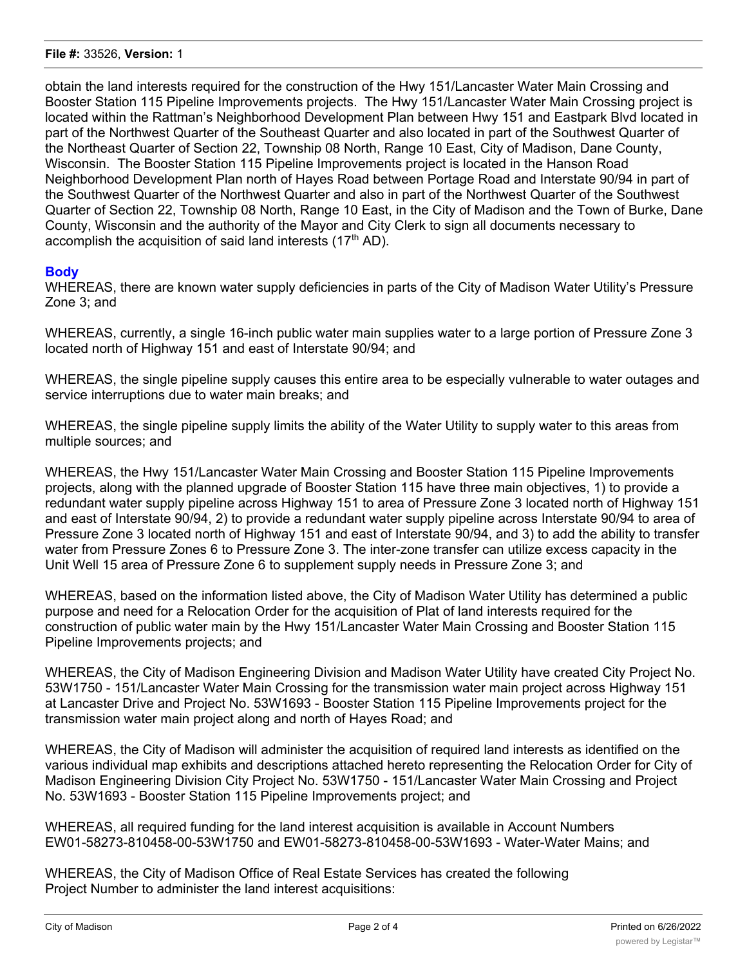obtain the land interests required for the construction of the Hwy 151/Lancaster Water Main Crossing and Booster Station 115 Pipeline Improvements projects. The Hwy 151/Lancaster Water Main Crossing project is located within the Rattman's Neighborhood Development Plan between Hwy 151 and Eastpark Blvd located in part of the Northwest Quarter of the Southeast Quarter and also located in part of the Southwest Quarter of the Northeast Quarter of Section 22, Township 08 North, Range 10 East, City of Madison, Dane County, Wisconsin. The Booster Station 115 Pipeline Improvements project is located in the Hanson Road Neighborhood Development Plan north of Hayes Road between Portage Road and Interstate 90/94 in part of the Southwest Quarter of the Northwest Quarter and also in part of the Northwest Quarter of the Southwest Quarter of Section 22, Township 08 North, Range 10 East, in the City of Madison and the Town of Burke, Dane County, Wisconsin and the authority of the Mayor and City Clerk to sign all documents necessary to accomplish the acquisition of said land interests  $(17<sup>th</sup> AD)$ .

#### **Body**

WHEREAS, there are known water supply deficiencies in parts of the City of Madison Water Utility's Pressure Zone 3; and

WHEREAS, currently, a single 16-inch public water main supplies water to a large portion of Pressure Zone 3 located north of Highway 151 and east of Interstate 90/94; and

WHEREAS, the single pipeline supply causes this entire area to be especially vulnerable to water outages and service interruptions due to water main breaks; and

WHEREAS, the single pipeline supply limits the ability of the Water Utility to supply water to this areas from multiple sources; and

WHEREAS, the Hwy 151/Lancaster Water Main Crossing and Booster Station 115 Pipeline Improvements projects, along with the planned upgrade of Booster Station 115 have three main objectives, 1) to provide a redundant water supply pipeline across Highway 151 to area of Pressure Zone 3 located north of Highway 151 and east of Interstate 90/94, 2) to provide a redundant water supply pipeline across Interstate 90/94 to area of Pressure Zone 3 located north of Highway 151 and east of Interstate 90/94, and 3) to add the ability to transfer water from Pressure Zones 6 to Pressure Zone 3. The inter-zone transfer can utilize excess capacity in the Unit Well 15 area of Pressure Zone 6 to supplement supply needs in Pressure Zone 3; and

WHEREAS, based on the information listed above, the City of Madison Water Utility has determined a public purpose and need for a Relocation Order for the acquisition of Plat of land interests required for the construction of public water main by the Hwy 151/Lancaster Water Main Crossing and Booster Station 115 Pipeline Improvements projects; and

WHEREAS, the City of Madison Engineering Division and Madison Water Utility have created City Project No. 53W1750 - 151/Lancaster Water Main Crossing for the transmission water main project across Highway 151 at Lancaster Drive and Project No. 53W1693 - Booster Station 115 Pipeline Improvements project for the transmission water main project along and north of Hayes Road; and

WHEREAS, the City of Madison will administer the acquisition of required land interests as identified on the various individual map exhibits and descriptions attached hereto representing the Relocation Order for City of Madison Engineering Division City Project No. 53W1750 - 151/Lancaster Water Main Crossing and Project No. 53W1693 - Booster Station 115 Pipeline Improvements project; and

WHEREAS, all required funding for the land interest acquisition is available in Account Numbers EW01-58273-810458-00-53W1750 and EW01-58273-810458-00-53W1693 - Water-Water Mains; and

WHEREAS, the City of Madison Office of Real Estate Services has created the following Project Number to administer the land interest acquisitions: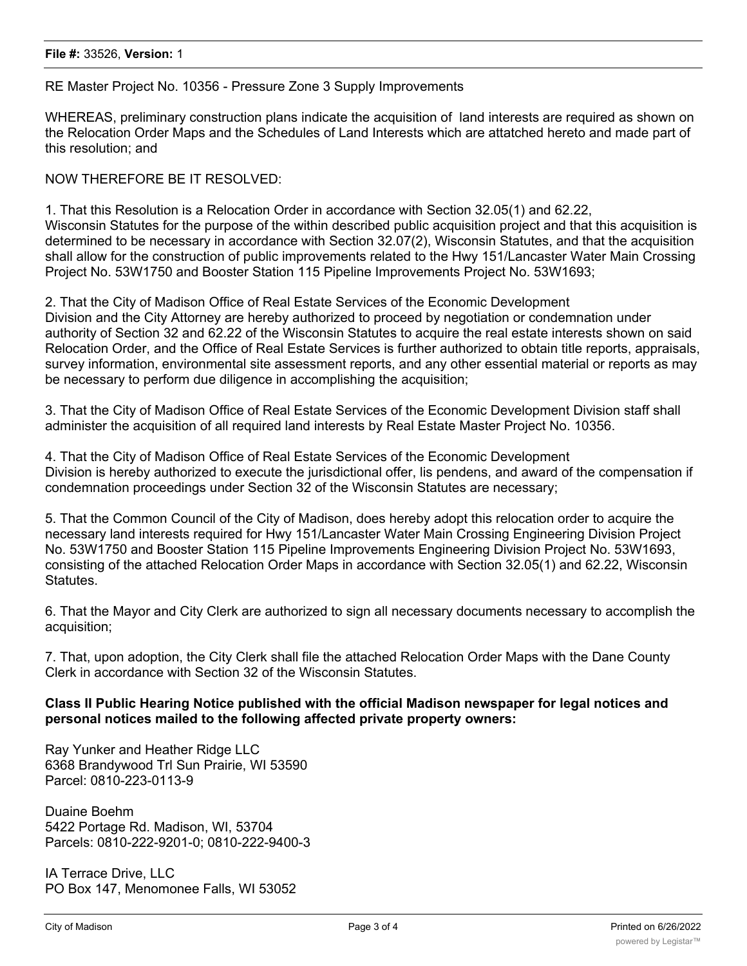#### RE Master Project No. 10356 - Pressure Zone 3 Supply Improvements

WHEREAS, preliminary construction plans indicate the acquisition of land interests are required as shown on the Relocation Order Maps and the Schedules of Land Interests which are attatched hereto and made part of this resolution; and

NOW THEREFORE BE IT RESOLVED:

1. That this Resolution is a Relocation Order in accordance with Section 32.05(1) and 62.22, Wisconsin Statutes for the purpose of the within described public acquisition project and that this acquisition is determined to be necessary in accordance with Section 32.07(2), Wisconsin Statutes, and that the acquisition shall allow for the construction of public improvements related to the Hwy 151/Lancaster Water Main Crossing Project No. 53W1750 and Booster Station 115 Pipeline Improvements Project No. 53W1693;

2. That the City of Madison Office of Real Estate Services of the Economic Development Division and the City Attorney are hereby authorized to proceed by negotiation or condemnation under authority of Section 32 and 62.22 of the Wisconsin Statutes to acquire the real estate interests shown on said Relocation Order, and the Office of Real Estate Services is further authorized to obtain title reports, appraisals, survey information, environmental site assessment reports, and any other essential material or reports as may be necessary to perform due diligence in accomplishing the acquisition;

3. That the City of Madison Office of Real Estate Services of the Economic Development Division staff shall administer the acquisition of all required land interests by Real Estate Master Project No. 10356.

4. That the City of Madison Office of Real Estate Services of the Economic Development Division is hereby authorized to execute the jurisdictional offer, lis pendens, and award of the compensation if condemnation proceedings under Section 32 of the Wisconsin Statutes are necessary;

5. That the Common Council of the City of Madison, does hereby adopt this relocation order to acquire the necessary land interests required for Hwy 151/Lancaster Water Main Crossing Engineering Division Project No. 53W1750 and Booster Station 115 Pipeline Improvements Engineering Division Project No. 53W1693, consisting of the attached Relocation Order Maps in accordance with Section 32.05(1) and 62.22, Wisconsin **Statutes** 

6. That the Mayor and City Clerk are authorized to sign all necessary documents necessary to accomplish the acquisition;

7. That, upon adoption, the City Clerk shall file the attached Relocation Order Maps with the Dane County Clerk in accordance with Section 32 of the Wisconsin Statutes.

### **Class II Public Hearing Notice published with the official Madison newspaper for legal notices and personal notices mailed to the following affected private property owners:**

Ray Yunker and Heather Ridge LLC 6368 Brandywood Trl Sun Prairie, WI 53590 Parcel: 0810-223-0113-9

Duaine Boehm 5422 Portage Rd. Madison, WI, 53704 Parcels: 0810-222-9201-0; 0810-222-9400-3

IA Terrace Drive, LLC PO Box 147, Menomonee Falls, WI 53052